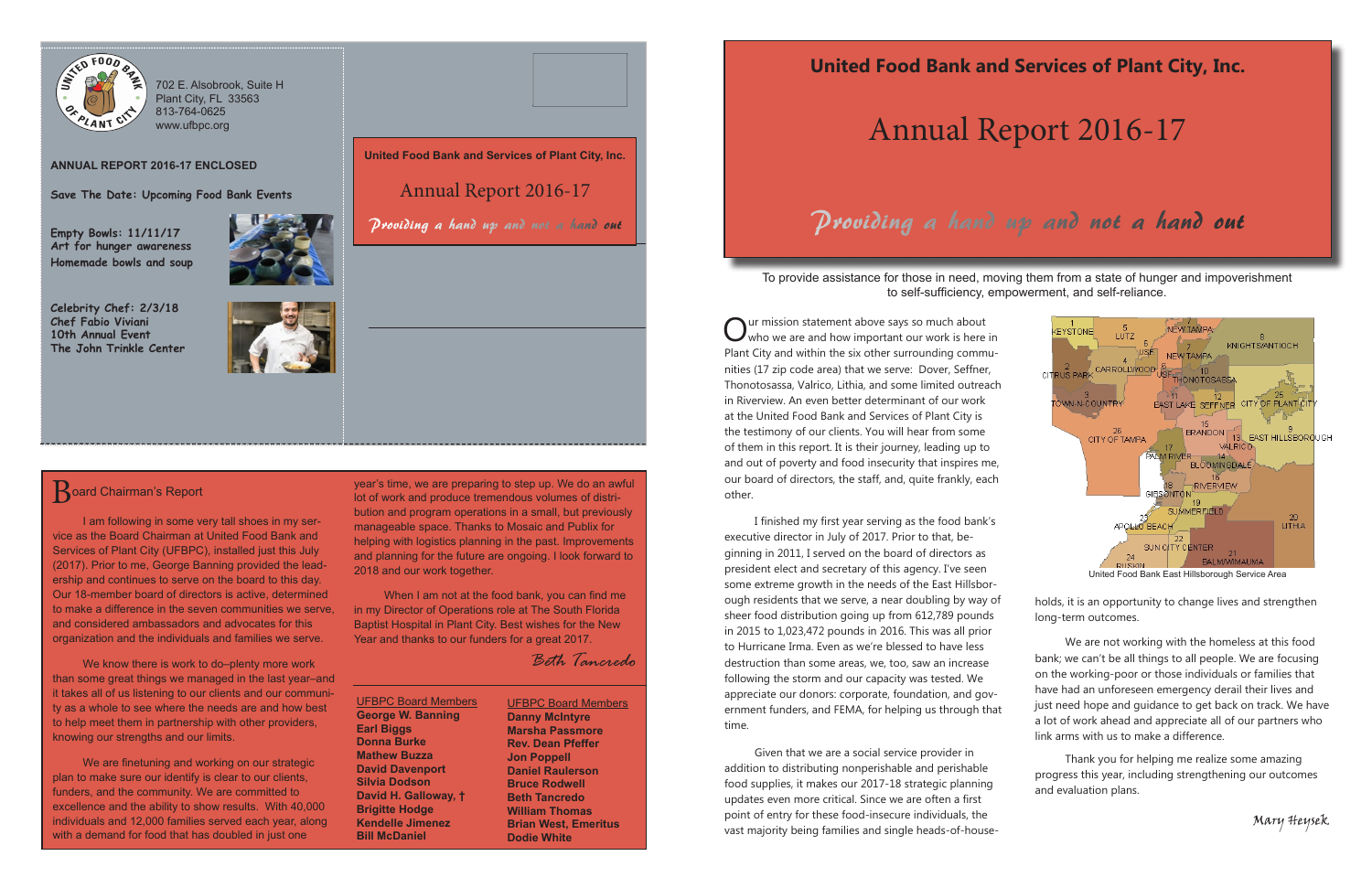# Annual Report 2016-17

Our mission statement above says so much about<br>Who we are and how important our work is here in<br>Next City on deviation the size of a gauge on the accuracy Plant City and within the six other surrounding communities (17 zip code area) that we serve: Dover, Seffner, Thonotosassa, Valrico, Lithia, and some limited outreach in Riverview. An even better determinant of our work at the United Food Bank and Services of Plant City is the testimony of our clients. You will hear from some of them in this report. It is their journey, leading up to and out of poverty and food insecurity that inspires me, our board of directors, the staff, and, quite frankly, each other.

 I finished my first year serving as the food bank's executive director in July of 2017. Prior to that, beginning in 2011, I served on the board of directors as president elect and secretary of this agency. I've seen some extreme growth in the needs of the East Hillsborough residents that we serve, a near doubling by way of sheer food distribution going up from 612,789 pounds in 2015 to 1,023,472 pounds in 2016. This was all prior to Hurricane Irma. Even as we're blessed to have less destruction than some areas, we, too, saw an increase following the storm and our capacity was tested. We appreciate our donors: corporate, foundation, and government funders, and FEMA, for helping us through that time.

Given that we are a social service provider in addition to distributing nonperishable and perishable food supplies, it makes our 2017-18 strategic planning updates even more critical. Since we are often a first point of entry for these food-insecure individuals, the vast majority being families and single heads-of-house-

To provide assistance for those in need, moving them from a state of hunger and impoverishment to self-sufficiency, empowerment, and self-reliance.

## Providing a hand up and not a hand out



holds, it is an opportunity to change lives and strengthen long-term outcomes.

We know there is work to do-plenty more work than some great things we managed in the last year–and it takes all of us listening to our clients and our community as a whole to see where the needs are and how best to help meet them in partnership with other providers, knowing our strengths and our limits.

We are finetuning and working on our strategic plan to make sure our identify is clear to our clients, funders, and the community. We are committed to excellence and the ability to show results. With 40,000 individuals and 12,000 families served each year, along with a demand for food that has doubled in just one

We are not working with the homeless at this food bank; we can't be all things to all people. We are focusing on the working-poor or those individuals or families that have had an unforeseen emergency derail their lives and just need hope and guidance to get back on track. We have a lot of work ahead and appreciate all of our partners who link arms with us to make a difference.

Thank you for helping me realize some amazing progress this year, including strengthening our outcomes and evaluation plans.

Mary Heysek

year's time, we are preparing to step up. We do an awful lot of work and produce tremendous volumes of distribution and program operations in a small, but previously manageable space. Thanks to Mosaic and Publix for helping with logistics planning in the past. Improvements and planning for the future are ongoing. I look forward to 2018 and our work together.

When I am not at the food bank, you can find me in my Director of Operations role at The South Florida Baptist Hospital in Plant City. Best wishes for the New Year and thanks to our funders for a great 2017.

*Beth Tancredo*



702 E. Alsobrook, Suite H Plant City, FL 33563 813-764-0625 www.ufbpc.org

### **ANNUAL REPORT 2016-17 ENCLOSED**

**Save The Date: Upcoming Food Bank Events**

**Empty Bowls: 11/11/17 Art for hunger awareness Homemade bowls and soup**

**Celebrity Chef: 2/3/18 Chef Fabio Viviani 10th Annual Event**



### **Board Chairman's Report**

**The John Trinkle Center**



**United Food Bank and Services of Plant City, Inc.** 

Annual Report 2016-17

Providing a hand up and not a hand out

I am following in some very tall shoes in my service as the Board Chairman at United Food Bank and Services of Plant City (UFBPC), installed just this July (2017). Prior to me, George Banning provided the leadership and continues to serve on the board to this day. Our 18-member board of directors is active, determined to make a difference in the seven communities we serve, and considered ambassadors and advocates for this organization and the individuals and families we serve.

> UFBPC Board Members **George W. Banning Earl Biggs Donna Burke Mathew Buzza David Davenport Silvia Dodson David H. Galloway, † Brigitte Hodge Kendelle Jimenez Bill McDaniel**

UFBPC Board Members **Danny McIntyre Marsha Passmore Rev. Dean Pfeffer Jon Poppell Daniel Raulerson Bruce Rodwell Beth Tancredo William Thomas Brian West, Emeritus Dodie White**



United Food Bank East Hillsborough Service Area